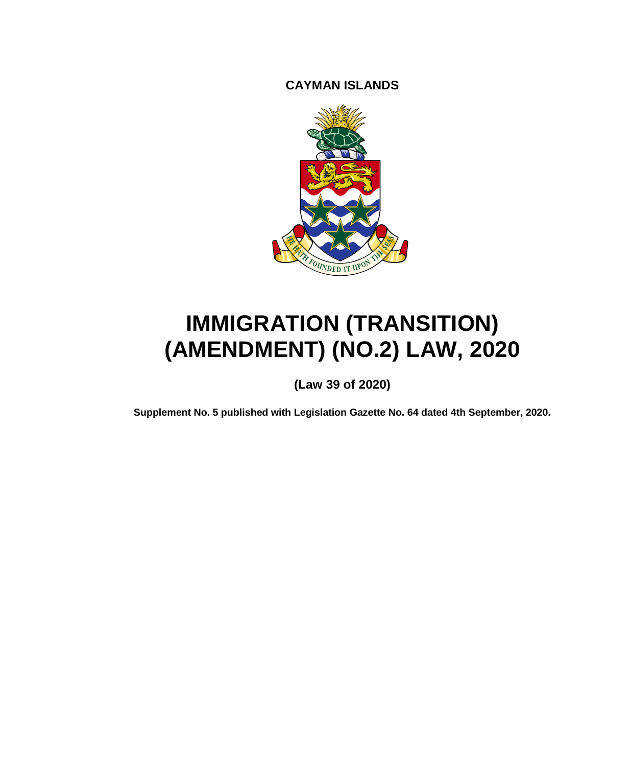**CAYMAN ISLANDS**



# **IMMIGRATION (TRANSITION) (AMENDMENT) (NO.2) LAW, 2020**

**(Law 39 of 2020)**

**Supplement No. 5 published with Legislation Gazette No. 64 dated 4th September, 2020.**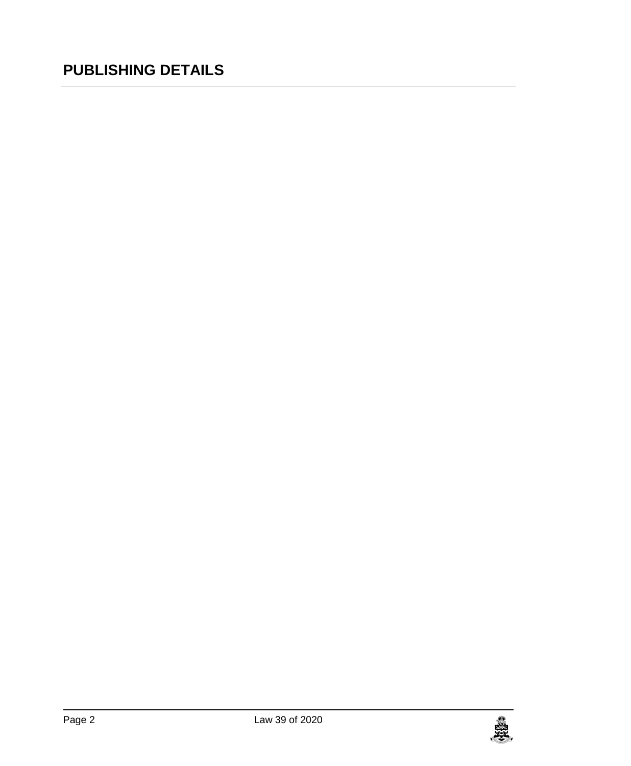## **PUBLISHING DETAILS**

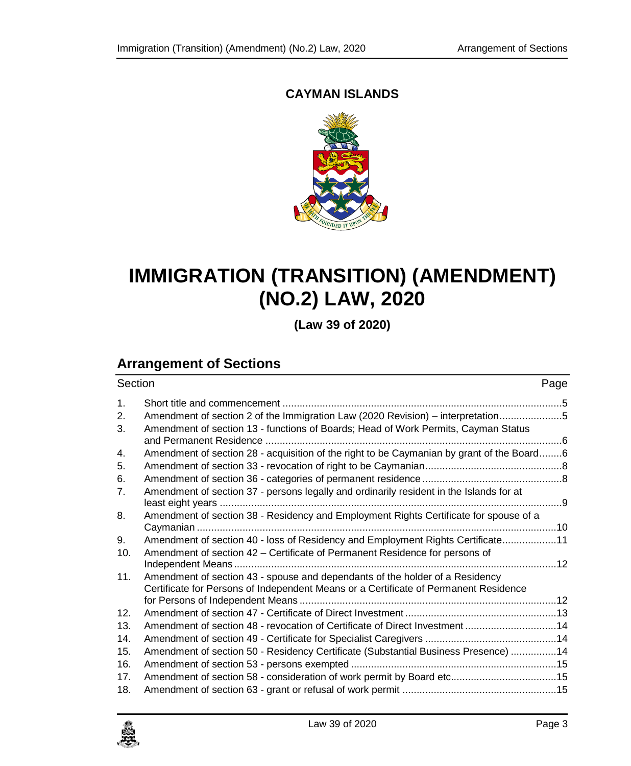## **CAYMAN ISLANDS**



## **IMMIGRATION (TRANSITION) (AMENDMENT) (NO.2) LAW, 2020**

**(Law 39 of 2020)**

## **Arrangement of Sections**

| Section |                                                                                           | Page |
|---------|-------------------------------------------------------------------------------------------|------|
| 1.      |                                                                                           |      |
| 2.      | Amendment of section 2 of the Immigration Law (2020 Revision) – interpretation5           |      |
| 3.      | Amendment of section 13 - functions of Boards; Head of Work Permits, Cayman Status        |      |
|         |                                                                                           |      |
| 4.      | Amendment of section 28 - acquisition of the right to be Caymanian by grant of the Board6 |      |
| 5.      |                                                                                           |      |
| 6.      |                                                                                           |      |
| 7.      | Amendment of section 37 - persons legally and ordinarily resident in the Islands for at   |      |
| 8.      | Amendment of section 38 - Residency and Employment Rights Certificate for spouse of a     |      |
|         |                                                                                           |      |
| 9.      | Amendment of section 40 - loss of Residency and Employment Rights Certificate11           |      |
| 10.     | Amendment of section 42 – Certificate of Permanent Residence for persons of               |      |
|         |                                                                                           |      |
| 11.     | Amendment of section 43 - spouse and dependants of the holder of a Residency              |      |
|         | Certificate for Persons of Independent Means or a Certificate of Permanent Residence      |      |
| 12.     |                                                                                           |      |
| 13.     |                                                                                           |      |
|         | Amendment of section 48 - revocation of Certificate of Direct Investment  14              |      |
| 14.     |                                                                                           |      |
| 15.     | Amendment of section 50 - Residency Certificate (Substantial Business Presence) 14        |      |
| 16.     |                                                                                           |      |
| 17.     | Amendment of section 58 - consideration of work permit by Board etc 15                    |      |
| 18.     |                                                                                           |      |

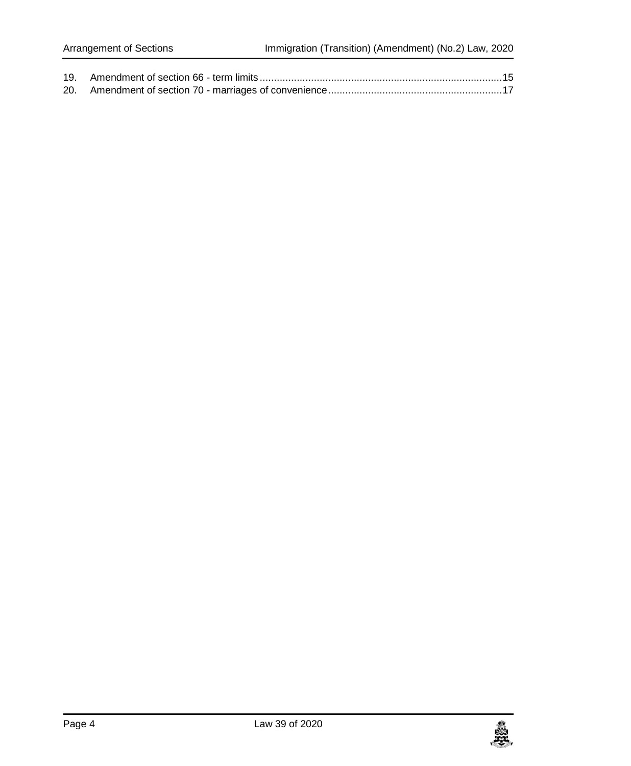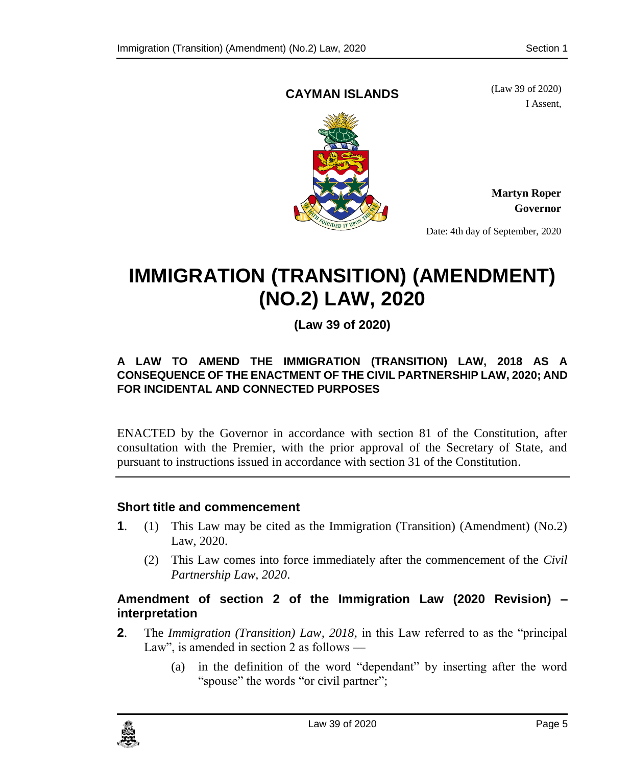## **CAYMAN ISLANDS**

(Law 39 of 2020) I Assent,



**Martyn Roper Governor**

Date: 4th day of September, 2020

## **IMMIGRATION (TRANSITION) (AMENDMENT) (NO.2) LAW, 2020**

**(Law 39 of 2020)**

## **A LAW TO AMEND THE IMMIGRATION (TRANSITION) LAW, 2018 AS A CONSEQUENCE OF THE ENACTMENT OF THE CIVIL PARTNERSHIP LAW, 2020; AND FOR INCIDENTAL AND CONNECTED PURPOSES**

ENACTED by the Governor in accordance with section 81 of the Constitution, after consultation with the Premier, with the prior approval of the Secretary of State, and pursuant to instructions issued in accordance with section 31 of the Constitution.

## <span id="page-4-0"></span>**1. Short title and commencement**

- **1**. (1) This Law may be cited as the Immigration (Transition) (Amendment) (No.2) Law, 2020.
	- (2) This Law comes into force immediately after the commencement of the *Civil Partnership Law, 2020*.

## <span id="page-4-1"></span>**2. Amendment of section 2 of the Immigration Law (2020 Revision) – interpretation**

- **2**. The *Immigration (Transition) Law, 2018,* in this Law referred to as the "principal Law", is amended in section 2 as follows —
	- (a) in the definition of the word "dependant" by inserting after the word "spouse" the words "or civil partner";

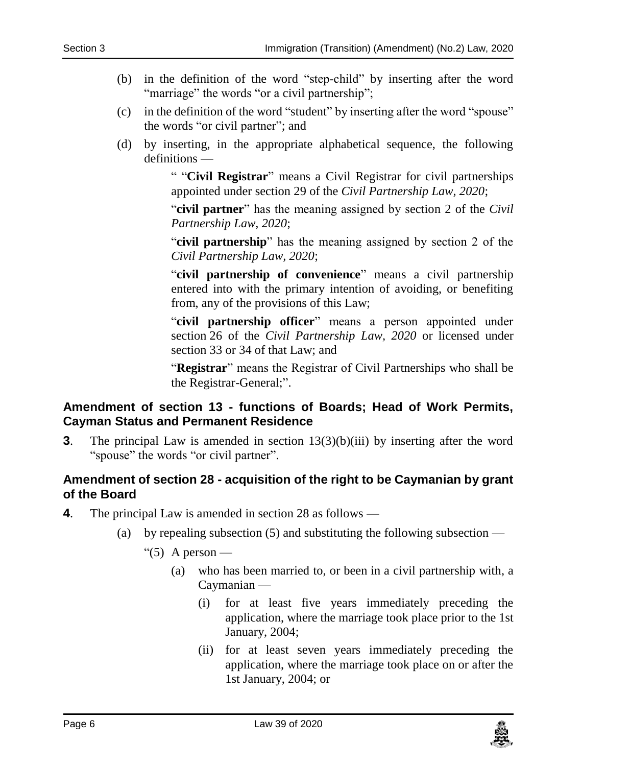- (b) in the definition of the word "step-child" by inserting after the word "marriage" the words "or a civil partnership";
- (c) in the definition of the word "student" by inserting after the word "spouse" the words "or civil partner"; and
- (d) by inserting, in the appropriate alphabetical sequence, the following definitions —

" "**Civil Registrar**" means a Civil Registrar for civil partnerships appointed under section 29 of the *Civil Partnership Law, 2020*;

"**civil partner**" has the meaning assigned by section 2 of the *Civil Partnership Law, 2020*;

"**civil partnership**" has the meaning assigned by section 2 of the *Civil Partnership Law, 2020*;

"**civil partnership of convenience**" means a civil partnership entered into with the primary intention of avoiding, or benefiting from, any of the provisions of this Law;

"**civil partnership officer**" means a person appointed under section 26 of the *Civil Partnership Law, 2020* or licensed under section 33 or 34 of that Law; and

"**Registrar**" means the Registrar of Civil Partnerships who shall be the Registrar-General;".

## <span id="page-5-0"></span>**3. Amendment of section 13 - functions of Boards; Head of Work Permits, Cayman Status and Permanent Residence**

**3**. The principal Law is amended in section  $13(3)(b)(iii)$  by inserting after the word "spouse" the words "or civil partner".

## <span id="page-5-1"></span>**4. Amendment of section 28 - acquisition of the right to be Caymanian by grant of the Board**

- **4**. The principal Law is amended in section 28 as follows
	- (a) by repealing subsection  $(5)$  and substituting the following subsection —

"(5) A person —

- (a) who has been married to, or been in a civil partnership with, a Caymanian —
	- (i) for at least five years immediately preceding the application, where the marriage took place prior to the 1st January, 2004;
	- (ii) for at least seven years immediately preceding the application, where the marriage took place on or after the 1st January, 2004; or

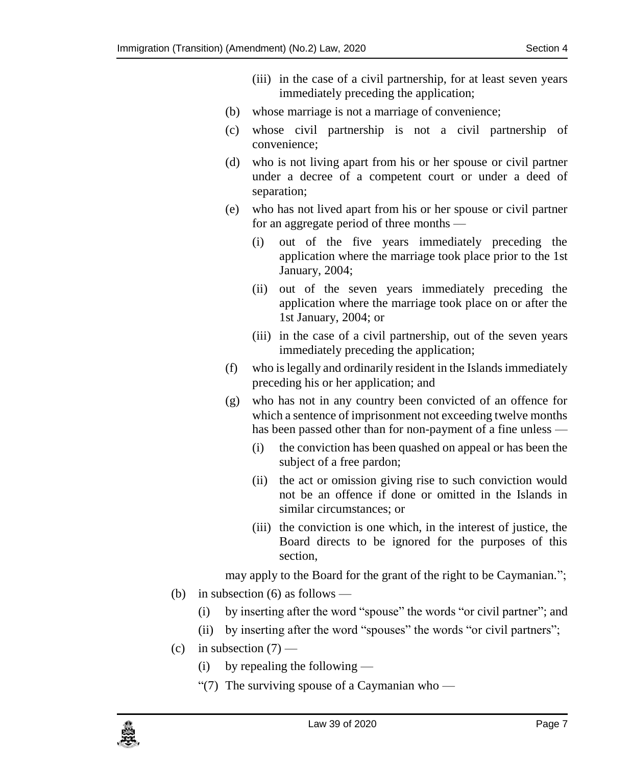- (iii) in the case of a civil partnership, for at least seven years immediately preceding the application;
- (b) whose marriage is not a marriage of convenience;
- (c) whose civil partnership is not a civil partnership of convenience;
- (d) who is not living apart from his or her spouse or civil partner under a decree of a competent court or under a deed of separation;
- (e) who has not lived apart from his or her spouse or civil partner for an aggregate period of three months —
	- (i) out of the five years immediately preceding the application where the marriage took place prior to the 1st January, 2004;
	- (ii) out of the seven years immediately preceding the application where the marriage took place on or after the 1st January, 2004; or
	- (iii) in the case of a civil partnership, out of the seven years immediately preceding the application;
- (f) who is legally and ordinarily resident in the Islands immediately preceding his or her application; and
- (g) who has not in any country been convicted of an offence for which a sentence of imprisonment not exceeding twelve months has been passed other than for non-payment of a fine unless —
	- (i) the conviction has been quashed on appeal or has been the subject of a free pardon;
	- (ii) the act or omission giving rise to such conviction would not be an offence if done or omitted in the Islands in similar circumstances; or
	- (iii) the conviction is one which, in the interest of justice, the Board directs to be ignored for the purposes of this section,

may apply to the Board for the grant of the right to be Caymanian.";

- (b) in subsection  $(6)$  as follows
	- (i) by inserting after the word "spouse" the words "or civil partner"; and
	- (ii) by inserting after the word "spouses" the words "or civil partners";
- (c) in subsection  $(7)$ 
	- (i) by repealing the following —
	- "(7) The surviving spouse of a Caymanian who —

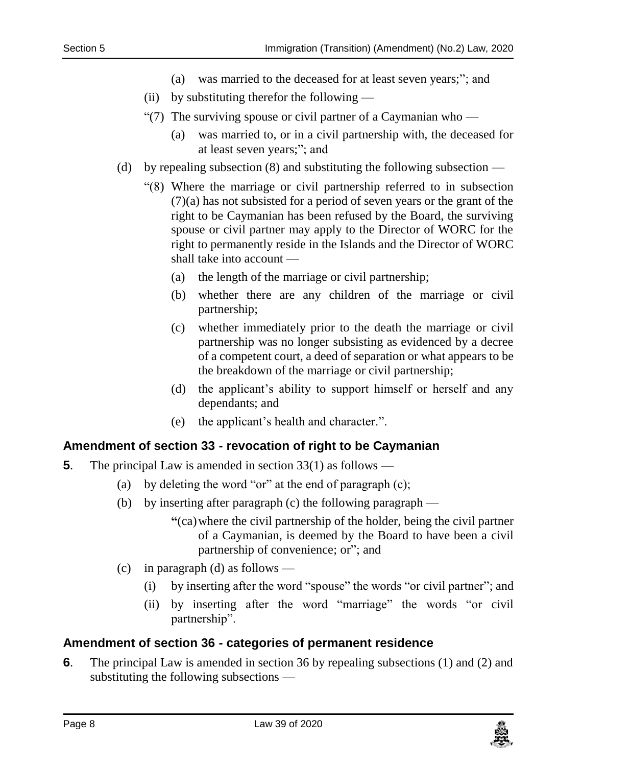- (a) was married to the deceased for at least seven years;"; and
- (ii) by substituting therefor the following —
- "(7) The surviving spouse or civil partner of a Caymanian who
	- (a) was married to, or in a civil partnership with, the deceased for at least seven years;"; and
- (d) by repealing subsection (8) and substituting the following subsection
	- "(8) Where the marriage or civil partnership referred to in subsection (7)(a) has not subsisted for a period of seven years or the grant of the right to be Caymanian has been refused by the Board, the surviving spouse or civil partner may apply to the Director of WORC for the right to permanently reside in the Islands and the Director of WORC shall take into account —
		- (a) the length of the marriage or civil partnership;
		- (b) whether there are any children of the marriage or civil partnership;
		- (c) whether immediately prior to the death the marriage or civil partnership was no longer subsisting as evidenced by a decree of a competent court, a deed of separation or what appears to be the breakdown of the marriage or civil partnership;
		- (d) the applicant's ability to support himself or herself and any dependants; and
		- (e) the applicant's health and character.".

## <span id="page-7-0"></span>**5. Amendment of section 33 - revocation of right to be Caymanian**

- **5**. The principal Law is amended in section 33(1) as follows
	- (a) by deleting the word "or" at the end of paragraph (c);
	- (b) by inserting after paragraph (c) the following paragraph
		- **"**(ca)where the civil partnership of the holder, being the civil partner of a Caymanian, is deemed by the Board to have been a civil partnership of convenience; or"; and
	- (c) in paragraph (d) as follows
		- (i) by inserting after the word "spouse" the words "or civil partner"; and
		- (ii) by inserting after the word "marriage" the words "or civil partnership".

## <span id="page-7-1"></span>**6. Amendment of section 36 - categories of permanent residence**

**6**. The principal Law is amended in section 36 by repealing subsections (1) and (2) and substituting the following subsections —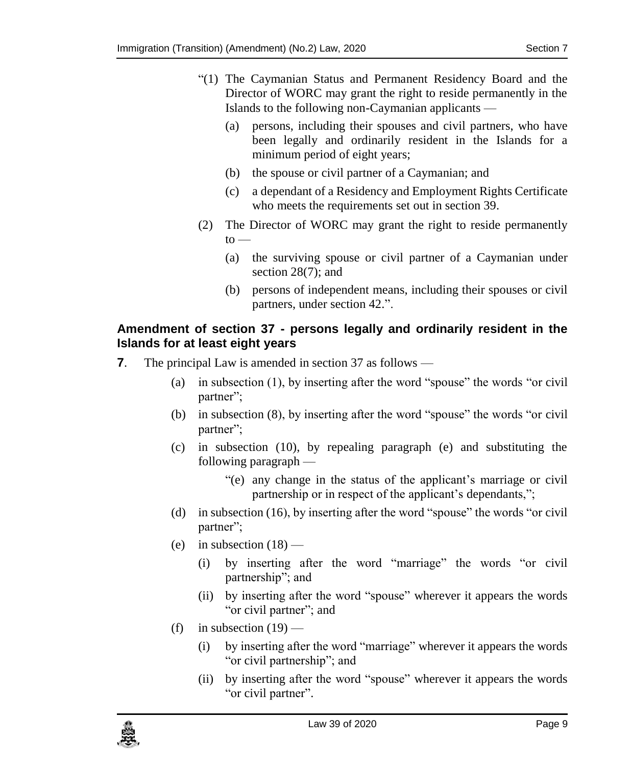- "(1) The Caymanian Status and Permanent Residency Board and the Director of WORC may grant the right to reside permanently in the Islands to the following non-Caymanian applicants —
	- (a) persons, including their spouses and civil partners, who have been legally and ordinarily resident in the Islands for a minimum period of eight years;
	- (b) the spouse or civil partner of a Caymanian; and
	- (c) a dependant of a Residency and Employment Rights Certificate who meets the requirements set out in section 39.
- (2) The Director of WORC may grant the right to reside permanently  $to$ 
	- (a) the surviving spouse or civil partner of a Caymanian under section 28(7); and
	- (b) persons of independent means, including their spouses or civil partners, under section 42.".

## <span id="page-8-0"></span>**7. Amendment of section 37 - persons legally and ordinarily resident in the Islands for at least eight years**

- **7**. The principal Law is amended in section 37 as follows
	- (a) in subsection (1), by inserting after the word "spouse" the words "or civil partner";
	- (b) in subsection (8), by inserting after the word "spouse" the words "or civil partner";
	- (c) in subsection (10), by repealing paragraph (e) and substituting the following paragraph —
		- "(e) any change in the status of the applicant's marriage or civil partnership or in respect of the applicant's dependants,";
	- (d) in subsection (16), by inserting after the word "spouse" the words "or civil partner";
	- (e) in subsection  $(18)$ 
		- (i) by inserting after the word "marriage" the words "or civil partnership"; and
		- (ii) by inserting after the word "spouse" wherever it appears the words "or civil partner"; and
	- (f) in subsection  $(19)$ 
		- (i) by inserting after the word "marriage" wherever it appears the words "or civil partnership"; and
		- (ii) by inserting after the word "spouse" wherever it appears the words "or civil partner".

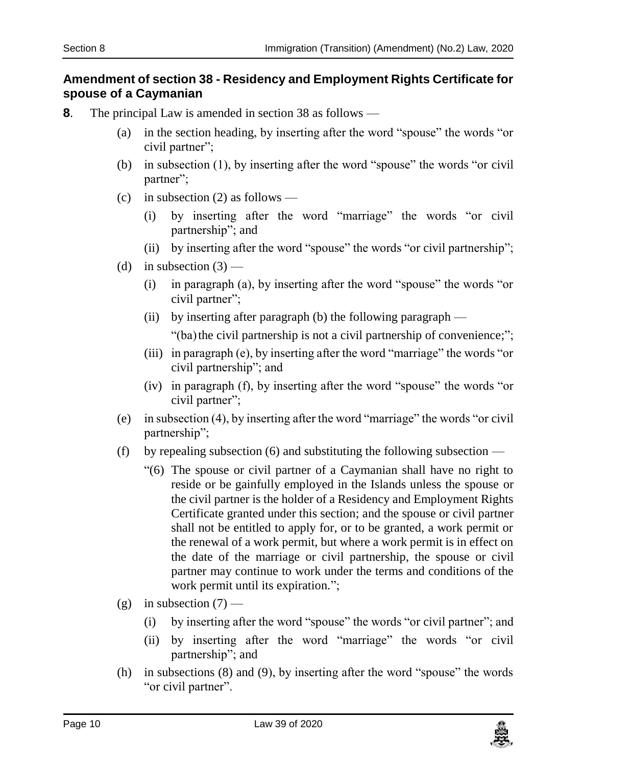## <span id="page-9-0"></span>**8. Amendment of section 38 - Residency and Employment Rights Certificate for spouse of a Caymanian**

- **8**. The principal Law is amended in section 38 as follows
	- (a) in the section heading, by inserting after the word "spouse" the words "or civil partner";
	- (b) in subsection (1), by inserting after the word "spouse" the words "or civil partner";
	- (c) in subsection (2) as follows
		- by inserting after the word "marriage" the words "or civil" partnership"; and
		- (ii) by inserting after the word "spouse" the words "or civil partnership";
	- (d) in subsection  $(3)$ 
		- (i) in paragraph (a), by inserting after the word "spouse" the words "or civil partner";
		- (ii) by inserting after paragraph (b) the following paragraph "(ba) the civil partnership is not a civil partnership of convenience;";
		- (iii) in paragraph (e), by inserting after the word "marriage" the words "or civil partnership"; and
		- (iv) in paragraph (f), by inserting after the word "spouse" the words "or civil partner";
	- (e) in subsection (4), by inserting after the word "marriage" the words "or civil partnership";
	- (f) by repealing subsection (6) and substituting the following subsection
		- "(6) The spouse or civil partner of a Caymanian shall have no right to reside or be gainfully employed in the Islands unless the spouse or the civil partner is the holder of a Residency and Employment Rights Certificate granted under this section; and the spouse or civil partner shall not be entitled to apply for, or to be granted, a work permit or the renewal of a work permit, but where a work permit is in effect on the date of the marriage or civil partnership, the spouse or civil partner may continue to work under the terms and conditions of the work permit until its expiration.";
	- (g) in subsection  $(7)$ 
		- (i) by inserting after the word "spouse" the words "or civil partner"; and
		- (ii) by inserting after the word "marriage" the words "or civil partnership"; and
	- (h) in subsections (8) and (9), by inserting after the word "spouse" the words "or civil partner".

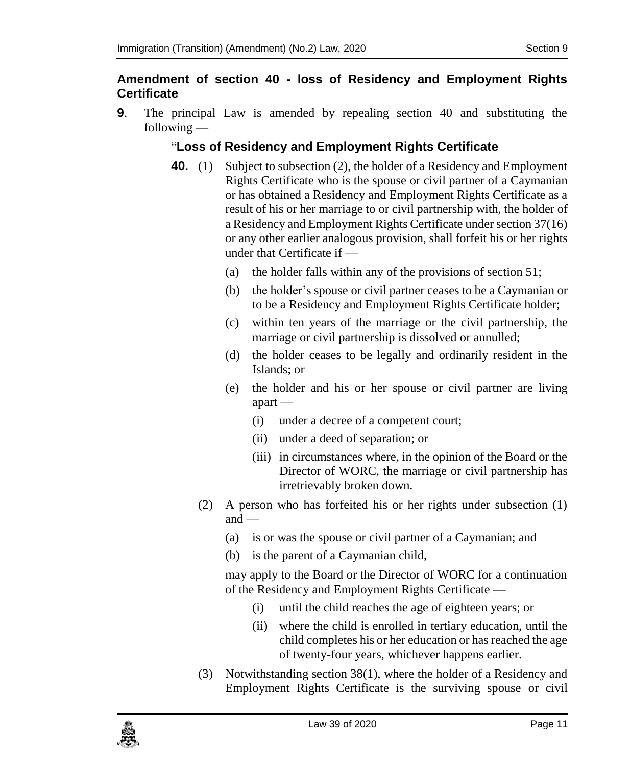## <span id="page-10-0"></span>**9. Amendment of section 40 - loss of Residency and Employment Rights Certificate**

**9**. The principal Law is amended by repealing section 40 and substituting the following —

## "**Loss of Residency and Employment Rights Certificate**

- **40.** (1) Subject to subsection (2), the holder of a Residency and Employment Rights Certificate who is the spouse or civil partner of a Caymanian or has obtained a Residency and Employment Rights Certificate as a result of his or her marriage to or civil partnership with, the holder of a Residency and Employment Rights Certificate under section 37(16) or any other earlier analogous provision, shall forfeit his or her rights under that Certificate if —
	- (a) the holder falls within any of the provisions of section 51;
	- (b) the holder's spouse or civil partner ceases to be a Caymanian or to be a Residency and Employment Rights Certificate holder;
	- (c) within ten years of the marriage or the civil partnership, the marriage or civil partnership is dissolved or annulled;
	- (d) the holder ceases to be legally and ordinarily resident in the Islands; or
	- (e) the holder and his or her spouse or civil partner are living apart —
		- (i) under a decree of a competent court;
		- (ii) under a deed of separation; or
		- (iii) in circumstances where, in the opinion of the Board or the Director of WORC, the marriage or civil partnership has irretrievably broken down.
	- (2) A person who has forfeited his or her rights under subsection (1) and —
		- (a) is or was the spouse or civil partner of a Caymanian; and
		- (b) is the parent of a Caymanian child,

may apply to the Board or the Director of WORC for a continuation of the Residency and Employment Rights Certificate —

- (i) until the child reaches the age of eighteen years; or
- (ii) where the child is enrolled in tertiary education, until the child completes his or her education or has reached the age of twenty-four years, whichever happens earlier.
- (3) Notwithstanding section 38(1), where the holder of a Residency and Employment Rights Certificate is the surviving spouse or civil

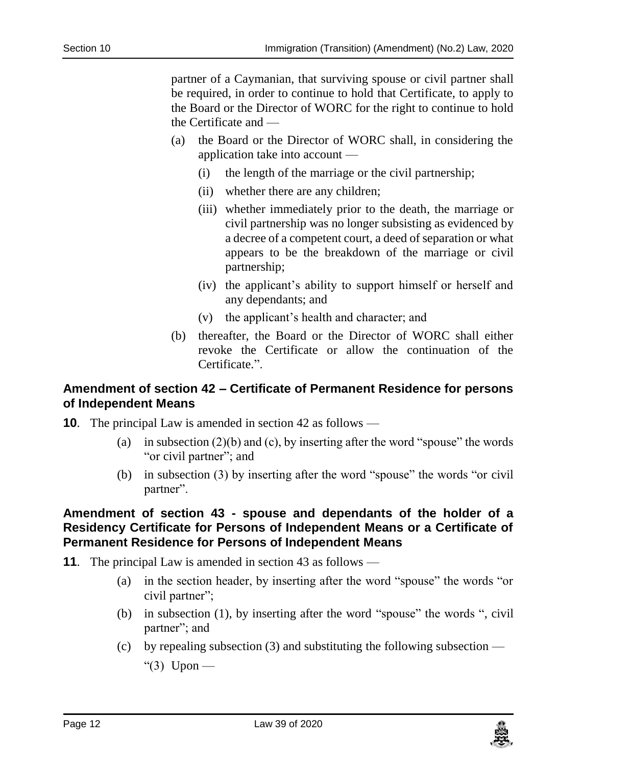partner of a Caymanian, that surviving spouse or civil partner shall be required, in order to continue to hold that Certificate, to apply to the Board or the Director of WORC for the right to continue to hold the Certificate and —

- (a) the Board or the Director of WORC shall, in considering the application take into account —
	- (i) the length of the marriage or the civil partnership;
	- (ii) whether there are any children;
	- (iii) whether immediately prior to the death, the marriage or civil partnership was no longer subsisting as evidenced by a decree of a competent court, a deed of separation or what appears to be the breakdown of the marriage or civil partnership;
	- (iv) the applicant's ability to support himself or herself and any dependants; and
	- (v) the applicant's health and character; and
- (b) thereafter, the Board or the Director of WORC shall either revoke the Certificate or allow the continuation of the Certificate.".

#### <span id="page-11-0"></span>**10. Amendment of section 42 – Certificate of Permanent Residence for persons of Independent Means**

- **10.** The principal Law is amended in section 42 as follows
	- (a) in subsection  $(2)(b)$  and  $(c)$ , by inserting after the word "spouse" the words "or civil partner"; and
	- (b) in subsection (3) by inserting after the word "spouse" the words "or civil partner".

## <span id="page-11-1"></span>**11. Amendment of section 43 - spouse and dependants of the holder of a Residency Certificate for Persons of Independent Means or a Certificate of Permanent Residence for Persons of Independent Means**

- **11**. The principal Law is amended in section 43 as follows
	- (a) in the section header, by inserting after the word "spouse" the words "or civil partner";
	- (b) in subsection (1), by inserting after the word "spouse" the words ", civil partner"; and
	- (c) by repealing subsection  $(3)$  and substituting the following subsection —

"(3) Upon —

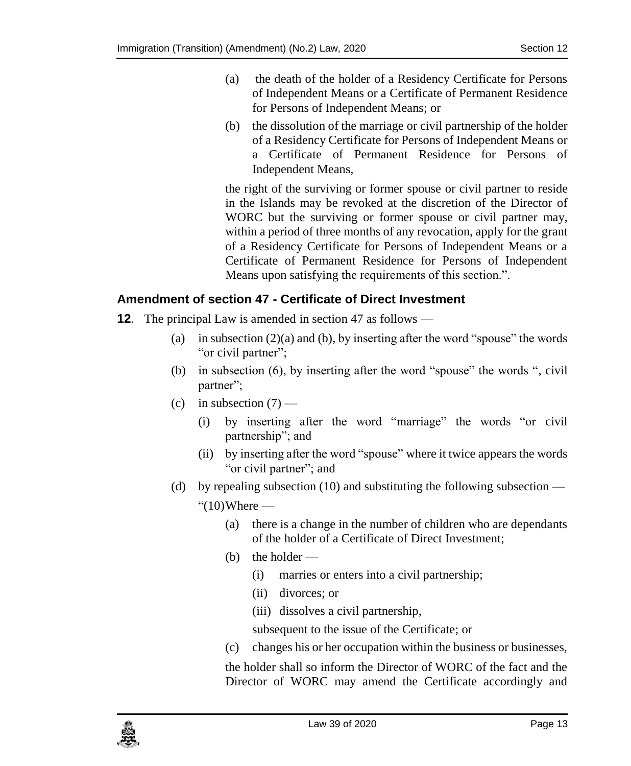- (a) the death of the holder of a Residency Certificate for Persons of Independent Means or a Certificate of Permanent Residence for Persons of Independent Means; or
- (b) the dissolution of the marriage or civil partnership of the holder of a Residency Certificate for Persons of Independent Means or a Certificate of Permanent Residence for Persons of Independent Means,

the right of the surviving or former spouse or civil partner to reside in the Islands may be revoked at the discretion of the Director of WORC but the surviving or former spouse or civil partner may, within a period of three months of any revocation, apply for the grant of a Residency Certificate for Persons of Independent Means or a Certificate of Permanent Residence for Persons of Independent Means upon satisfying the requirements of this section.".

## <span id="page-12-0"></span>**12. Amendment of section 47 - Certificate of Direct Investment**

- **12.** The principal Law is amended in section 47 as follows
	- (a) in subsection  $(2)(a)$  and (b), by inserting after the word "spouse" the words "or civil partner";
	- (b) in subsection (6), by inserting after the word "spouse" the words ", civil partner";
	- (c) in subsection  $(7)$ 
		- (i) by inserting after the word "marriage" the words "or civil partnership"; and
		- (ii) by inserting after the word "spouse" where it twice appears the words "or civil partner"; and
	- (d) by repealing subsection (10) and substituting the following subsection
		- $"(10)$ Where
			- (a) there is a change in the number of children who are dependants of the holder of a Certificate of Direct Investment;
			- (b) the holder
				- (i) marries or enters into a civil partnership;
				- (ii) divorces; or
				- (iii) dissolves a civil partnership,

subsequent to the issue of the Certificate; or

(c) changes his or her occupation within the business or businesses,

the holder shall so inform the Director of WORC of the fact and the Director of WORC may amend the Certificate accordingly and

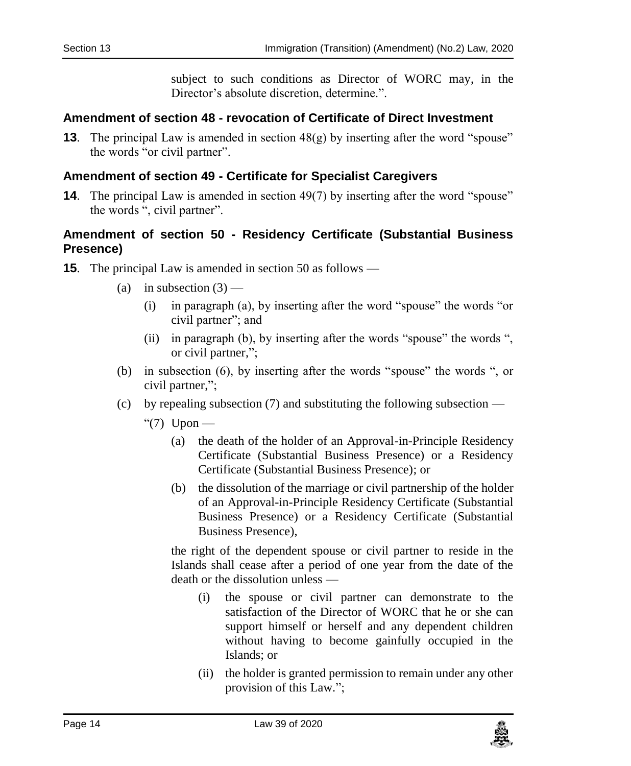subject to such conditions as Director of WORC may, in the Director's absolute discretion, determine.".

## <span id="page-13-0"></span>**13. Amendment of section 48 - revocation of Certificate of Direct Investment**

**13**. The principal Law is amended in section 48(g) by inserting after the word "spouse" the words "or civil partner".

## <span id="page-13-1"></span>**14. Amendment of section 49 - Certificate for Specialist Caregivers**

**14**. The principal Law is amended in section 49(7) by inserting after the word "spouse" the words ", civil partner".

## <span id="page-13-2"></span>**15. Amendment of section 50 - Residency Certificate (Substantial Business Presence)**

- **15**. The principal Law is amended in section 50 as follows
	- (a) in subsection  $(3)$ 
		- (i) in paragraph (a), by inserting after the word "spouse" the words "or civil partner"; and
		- (ii) in paragraph (b), by inserting after the words "spouse" the words ", or civil partner,";
	- (b) in subsection (6), by inserting after the words "spouse" the words ", or civil partner,";
	- (c) by repealing subsection  $(7)$  and substituting the following subsection
		- " $(7)$  Upon
			- (a) the death of the holder of an Approval-in-Principle Residency Certificate (Substantial Business Presence) or a Residency Certificate (Substantial Business Presence); or
			- (b) the dissolution of the marriage or civil partnership of the holder of an Approval-in-Principle Residency Certificate (Substantial Business Presence) or a Residency Certificate (Substantial Business Presence),

the right of the dependent spouse or civil partner to reside in the Islands shall cease after a period of one year from the date of the death or the dissolution unless —

- (i) the spouse or civil partner can demonstrate to the satisfaction of the Director of WORC that he or she can support himself or herself and any dependent children without having to become gainfully occupied in the Islands; or
- (ii) the holder is granted permission to remain under any other provision of this Law.";

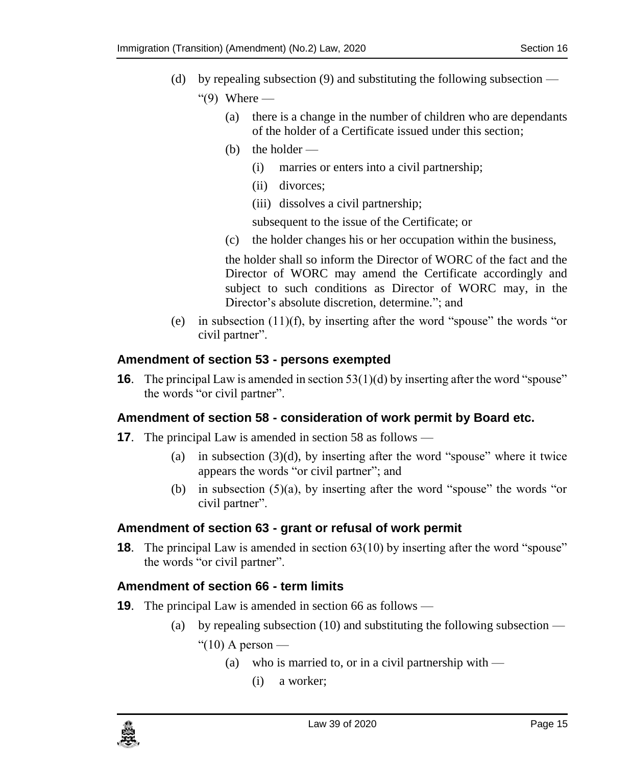- (d) by repealing subsection (9) and substituting the following subsection " $(9)$  Where —
	- (a) there is a change in the number of children who are dependants of the holder of a Certificate issued under this section;
	- (b) the holder
		- (i) marries or enters into a civil partnership;
		- (ii) divorces;
		- (iii) dissolves a civil partnership;

subsequent to the issue of the Certificate; or

(c) the holder changes his or her occupation within the business,

the holder shall so inform the Director of WORC of the fact and the Director of WORC may amend the Certificate accordingly and subject to such conditions as Director of WORC may, in the Director's absolute discretion, determine."; and

(e) in subsection  $(11)(f)$ , by inserting after the word "spouse" the words "or civil partner".

## <span id="page-14-0"></span>**16. Amendment of section 53 - persons exempted**

**16**. The principal Law is amended in section 53(1)(d) by inserting after the word "spouse" the words "or civil partner".

## <span id="page-14-1"></span>**17. Amendment of section 58 - consideration of work permit by Board etc.**

- **17.** The principal Law is amended in section 58 as follows
	- (a) in subsection  $(3)(d)$ , by inserting after the word "spouse" where it twice appears the words "or civil partner"; and
	- (b) in subsection (5)(a), by inserting after the word "spouse" the words "or civil partner".

## <span id="page-14-2"></span>**18. Amendment of section 63 - grant or refusal of work permit**

**18**. The principal Law is amended in section 63(10) by inserting after the word "spouse" the words "or civil partner".

## <span id="page-14-3"></span>**19. Amendment of section 66 - term limits**

- **19.** The principal Law is amended in section 66 as follows
	- (a) by repealing subsection  $(10)$  and substituting the following subsection —

" $(10)$  A person —

- (a) who is married to, or in a civil partnership with  $-$ 
	- (i) a worker;

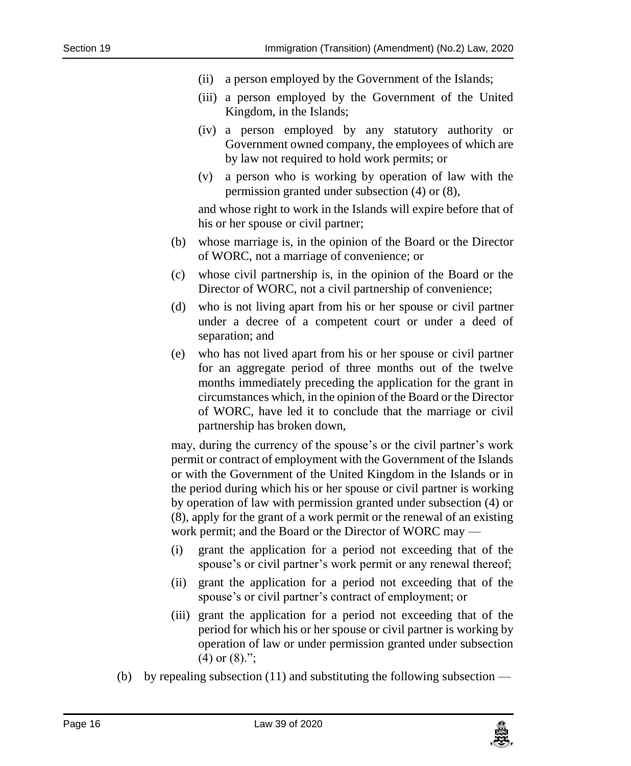- (ii) a person employed by the Government of the Islands;
- (iii) a person employed by the Government of the United Kingdom, in the Islands;
- (iv) a person employed by any statutory authority or Government owned company, the employees of which are by law not required to hold work permits; or
- (v) a person who is working by operation of law with the permission granted under subsection (4) or (8),

and whose right to work in the Islands will expire before that of his or her spouse or civil partner;

- (b) whose marriage is, in the opinion of the Board or the Director of WORC, not a marriage of convenience; or
- (c) whose civil partnership is, in the opinion of the Board or the Director of WORC, not a civil partnership of convenience;
- (d) who is not living apart from his or her spouse or civil partner under a decree of a competent court or under a deed of separation; and
- (e) who has not lived apart from his or her spouse or civil partner for an aggregate period of three months out of the twelve months immediately preceding the application for the grant in circumstances which, in the opinion of the Board or the Director of WORC, have led it to conclude that the marriage or civil partnership has broken down,

may, during the currency of the spouse's or the civil partner's work permit or contract of employment with the Government of the Islands or with the Government of the United Kingdom in the Islands or in the period during which his or her spouse or civil partner is working by operation of law with permission granted under subsection (4) or (8), apply for the grant of a work permit or the renewal of an existing work permit; and the Board or the Director of WORC may —

- (i) grant the application for a period not exceeding that of the spouse's or civil partner's work permit or any renewal thereof;
- (ii) grant the application for a period not exceeding that of the spouse's or civil partner's contract of employment; or
- (iii) grant the application for a period not exceeding that of the period for which his or her spouse or civil partner is working by operation of law or under permission granted under subsection  $(4)$  or  $(8)$ .";
- (b) by repealing subsection  $(11)$  and substituting the following subsection —

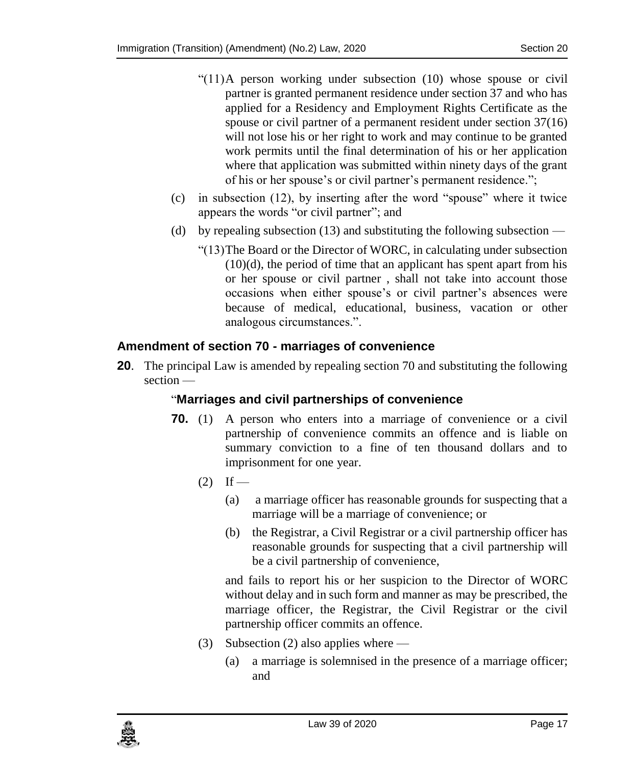- "(11)A person working under subsection (10) whose spouse or civil partner is granted permanent residence under section 37 and who has applied for a Residency and Employment Rights Certificate as the spouse or civil partner of a permanent resident under section 37(16) will not lose his or her right to work and may continue to be granted work permits until the final determination of his or her application where that application was submitted within ninety days of the grant of his or her spouse's or civil partner's permanent residence.";
- (c) in subsection (12), by inserting after the word "spouse" where it twice appears the words "or civil partner"; and
- (d) by repealing subsection  $(13)$  and substituting the following subsection
	- "(13)The Board or the Director of WORC, in calculating under subsection  $(10)(d)$ , the period of time that an applicant has spent apart from his or her spouse or civil partner , shall not take into account those occasions when either spouse's or civil partner's absences were because of medical, educational, business, vacation or other analogous circumstances.".

## <span id="page-16-0"></span>**20. Amendment of section 70 - marriages of convenience**

**20**. The principal Law is amended by repealing section 70 and substituting the following section —

## "**Marriages and civil partnerships of convenience**

- **70.** (1) A person who enters into a marriage of convenience or a civil partnership of convenience commits an offence and is liable on summary conviction to a fine of ten thousand dollars and to imprisonment for one year.
	- $(2)$  If
		- (a) a marriage officer has reasonable grounds for suspecting that a marriage will be a marriage of convenience; or
		- (b) the Registrar, a Civil Registrar or a civil partnership officer has reasonable grounds for suspecting that a civil partnership will be a civil partnership of convenience,

and fails to report his or her suspicion to the Director of WORC without delay and in such form and manner as may be prescribed, the marriage officer, the Registrar, the Civil Registrar or the civil partnership officer commits an offence.

- (3) Subsection (2) also applies where
	- (a) a marriage is solemnised in the presence of a marriage officer; and